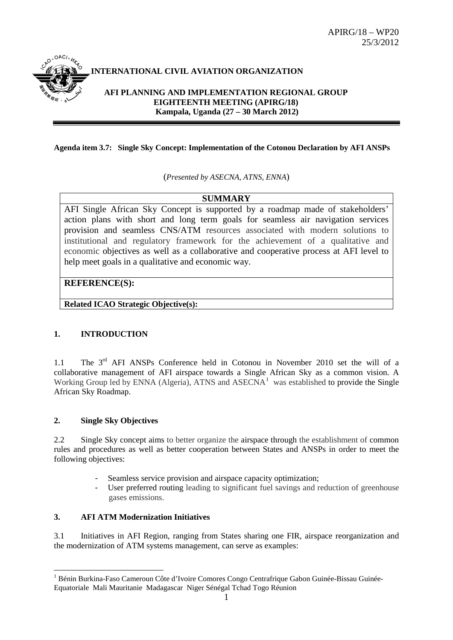

# **INTERNATIONAL CIVIL AVIATION ORGANIZATION**

**AFI PLANNING AND IMPLEMENTATION REGIONAL GROUP EIGHTEENTH MEETING (APIRG/18) Kampala, Uganda (27 – 30 March 2012)**

#### **Agenda item 3.7: Single Sky Concept: Implementation of the Cotonou Declaration by AFI ANSPs**

(*Presented by ASECNA, ATNS, ENNA*)

## **SUMMARY**

AFI Single African Sky Concept is supported by a roadmap made of stakeholders' action plans with short and long term goals for seamless air navigation services provision and seamless CNS/ATM resources associated with modern solutions to institutional and regulatory framework for the achievement of a qualitative and economic objectives as well as a collaborative and cooperative process at AFI level to help meet goals in a qualitative and economic way.

## **REFERENCE(S):**

**Related ICAO Strategic Objective(s):**

# **1. INTRODUCTION**

1.1 The 3<sup>rd</sup> AFI ANSPs Conference held in Cotonou in November 2010 set the will of a collaborative management of AFI airspace towards a Single African Sky as a common vision. A Working Group led by ENNA (Algeria), ATNS and  $\triangle$ SECNA<sup>[1](#page-0-0)</sup> was established to provide the Single African Sky Roadmap.

## **2. Single Sky Objectives**

2.2 Single Sky concept aims to better organize the airspace through the establishment of common rules and procedures as well as better cooperation between States and ANSPs in order to meet the following objectives:

- Seamless service provision and airspace capacity optimization;
- User preferred routing leading to significant fuel savings and reduction of greenhouse gases emissions.

## **3. AFI ATM Modernization Initiatives**

3.1 Initiatives in AFI Region, ranging from States sharing one FIR, airspace reorganization and the modernization of ATM systems management, can serve as examples:

<span id="page-0-0"></span> <sup>1</sup> Bénin Burkina-Faso Cameroun Côte d'Ivoire Comores Congo Centrafrique Gabon Guinée-Bissau Guinée-Equatoriale Mali Mauritanie Madagascar Niger Sénégal Tchad Togo Réunion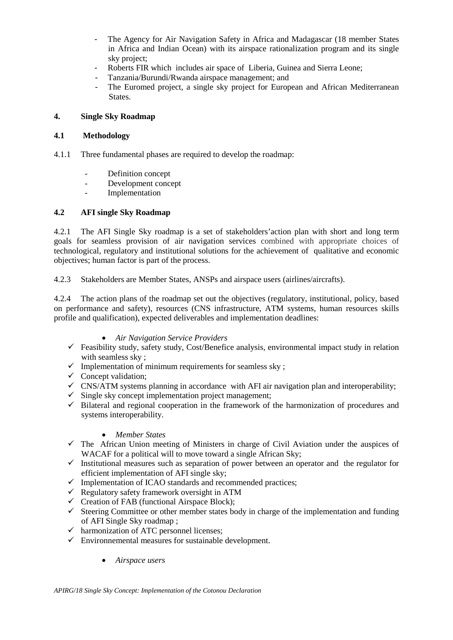- The Agency for Air Navigation Safety in Africa and Madagascar (18 member States in Africa and Indian Ocean) with its airspace rationalization program and its single sky project;
- Roberts FIR which includes air space of Liberia, Guinea and Sierra Leone;
- Tanzania/Burundi/Rwanda airspace management; and
- The Euromed project, a single sky project for European and African Mediterranean States.

#### **4. Single Sky Roadmap**

#### **4.1 Methodology**

- 4.1.1 Three fundamental phases are required to develop the roadmap:
	- Definition concept
	- Development concept
	- Implementation

## **4.2 AFI single Sky Roadmap**

4.2.1 The AFI Single Sky roadmap is a set of stakeholders'action plan with short and long term goals for seamless provision of air navigation services combined with appropriate choices of technological, regulatory and institutional solutions for the achievement of qualitative and economic objectives; human factor is part of the process.

4.2.3 Stakeholders are Member States, ANSPs and airspace users (airlines/aircrafts).

4.2.4 The action plans of the roadmap set out the objectives (regulatory, institutional, policy, based on performance and safety), resources (CNS infrastructure, ATM systems, human resources skills profile and qualification), expected deliverables and implementation deadlines:

#### • *Air Navigation Service Providers*

- $\checkmark$  Feasibility study, safety study, Cost/Benefice analysis, environmental impact study in relation with seamless sky:
- $\checkmark$  Implementation of minimum requirements for seamless sky ;
- $\checkmark$  Concept validation;
- $\checkmark$  CNS/ATM systems planning in accordance with AFI air navigation plan and interoperability;
- $\checkmark$  Single sky concept implementation project management;
- $\checkmark$  Bilateral and regional cooperation in the framework of the harmonization of procedures and systems interoperability.

#### • *Member States*

- $\checkmark$  The African Union meeting of Ministers in charge of Civil Aviation under the auspices of WACAF for a political will to move toward a single African Sky;
- $\checkmark$  Institutional measures such as separation of power between an operator and the regulator for efficient implementation of AFI single sky;
- $\checkmark$  Implementation of ICAO standards and recommended practices;
- $\checkmark$  Regulatory safety framework oversight in ATM
- $\checkmark$  Creation of FAB (functional Airspace Block);
- $\checkmark$  Steering Committee or other member states body in charge of the implementation and funding of AFI Single Sky roadmap ;
- $\checkmark$  harmonization of ATC personnel licenses;
- $\checkmark$  Environnemental measures for sustainable development.
	- *Airspace users*

*APIRG/18 Single Sky Concept: Implementation of the Cotonou Declaration*